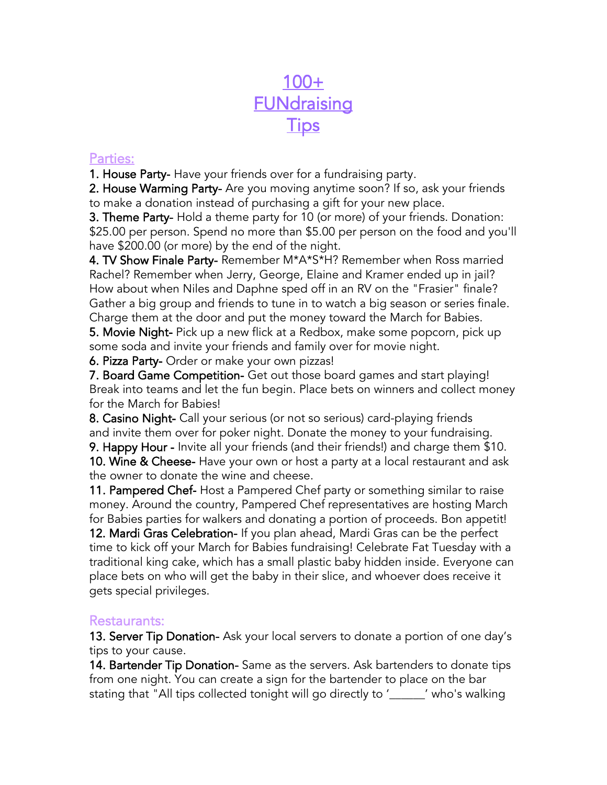# 100+ **FUNdraising Tips**

#### Parties:

1. House Party- Have your friends over for a fundraising party.

2. House Warming Party- Are you moving anytime soon? If so, ask your friends to make a donation instead of purchasing a gift for your new place.

3. Theme Party- Hold a theme party for 10 (or more) of your friends. Donation: \$25.00 per person. Spend no more than \$5.00 per person on the food and you'll have \$200.00 (or more) by the end of the night.

4. TV Show Finale Party- Remember M\*A\*S\*H? Remember when Ross married Rachel? Remember when Jerry, George, Elaine and Kramer ended up in jail? How about when Niles and Daphne sped off in an RV on the "Frasier" finale? Gather a big group and friends to tune in to watch a big season or series finale. Charge them at the door and put the money toward the March for Babies.

5. Movie Night- Pick up a new flick at a Redbox, make some popcorn, pick up some soda and invite your friends and family over for movie night.

6. Pizza Party- Order or make your own pizzas!

7. Board Game Competition- Get out those board games and start playing! Break into teams and let the fun begin. Place bets on winners and collect money for the March for Babies!

8. Casino Night- Call your serious (or not so serious) card-playing friends and invite them over for poker night. Donate the money to your fundraising.

9. Happy Hour - Invite all your friends (and their friends!) and charge them \$10. 10. Wine & Cheese- Have your own or host a party at a local restaurant and ask the owner to donate the wine and cheese.

11. Pampered Chef- Host a Pampered Chef party or something similar to raise money. Around the country, Pampered Chef representatives are hosting March for Babies parties for walkers and donating a portion of proceeds. Bon appetit!

12. Mardi Gras Celebration- If you plan ahead, Mardi Gras can be the perfect time to kick off your March for Babies fundraising! Celebrate Fat Tuesday with a traditional king cake, which has a small plastic baby hidden inside. Everyone can place bets on who will get the baby in their slice, and whoever does receive it gets special privileges.

### Restaurants:

13. Server Tip Donation- Ask your local servers to donate a portion of one day's tips to your cause.

14. Bartender Tip Donation- Same as the servers. Ask bartenders to donate tips from one night. You can create a sign for the bartender to place on the bar stating that "All tips collected tonight will go directly to '\_\_\_\_\_\_' who's walking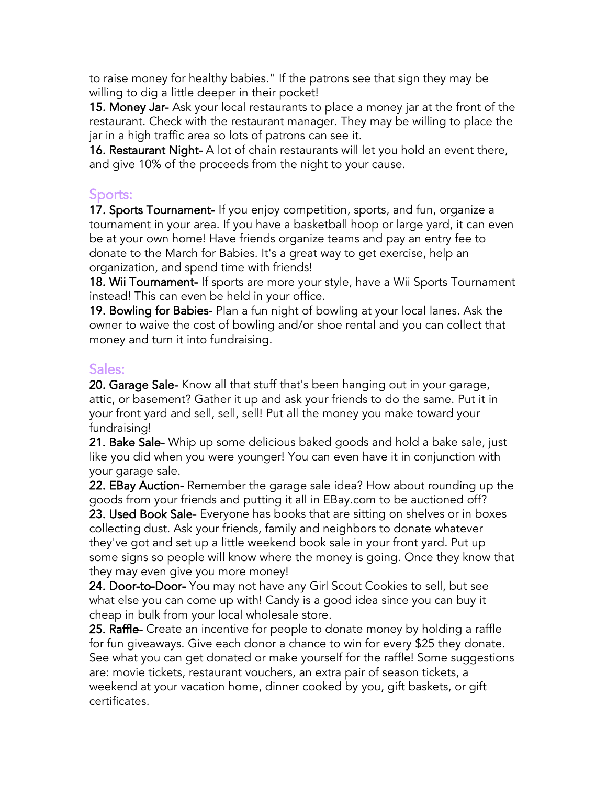to raise money for healthy babies." If the patrons see that sign they may be willing to dig a little deeper in their pocket!

15. Money Jar- Ask your local restaurants to place a money jar at the front of the restaurant. Check with the restaurant manager. They may be willing to place the jar in a high traffic area so lots of patrons can see it.

16. Restaurant Night- A lot of chain restaurants will let you hold an event there, and give 10% of the proceeds from the night to your cause.

### Sports:

17. Sports Tournament- If you enjoy competition, sports, and fun, organize a tournament in your area. If you have a basketball hoop or large yard, it can even be at your own home! Have friends organize teams and pay an entry fee to donate to the March for Babies. It's a great way to get exercise, help an organization, and spend time with friends!

18. Wii Tournament- If sports are more your style, have a Wii Sports Tournament instead! This can even be held in your office.

19. Bowling for Babies- Plan a fun night of bowling at your local lanes. Ask the owner to waive the cost of bowling and/or shoe rental and you can collect that money and turn it into fundraising.

### Sales:

20. Garage Sale- Know all that stuff that's been hanging out in your garage, attic, or basement? Gather it up and ask your friends to do the same. Put it in your front yard and sell, sell, sell! Put all the money you make toward your fundraising!

21. Bake Sale- Whip up some delicious baked goods and hold a bake sale, just like you did when you were younger! You can even have it in conjunction with your garage sale.

22. EBay Auction- Remember the garage sale idea? How about rounding up the goods from your friends and putting it all in EBay.com to be auctioned off?

23. Used Book Sale- Everyone has books that are sitting on shelves or in boxes collecting dust. Ask your friends, family and neighbors to donate whatever they've got and set up a little weekend book sale in your front yard. Put up some signs so people will know where the money is going. Once they know that they may even give you more money!

24. Door-to-Door- You may not have any Girl Scout Cookies to sell, but see what else you can come up with! Candy is a good idea since you can buy it cheap in bulk from your local wholesale store.

25. Raffle- Create an incentive for people to donate money by holding a raffle for fun giveaways. Give each donor a chance to win for every \$25 they donate. See what you can get donated or make yourself for the raffle! Some suggestions are: movie tickets, restaurant vouchers, an extra pair of season tickets, a weekend at your vacation home, dinner cooked by you, gift baskets, or gift certificates.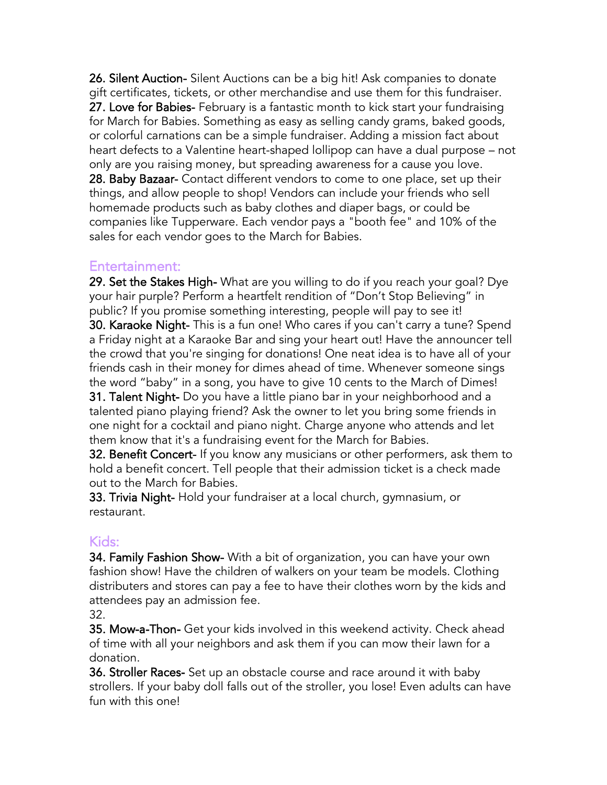26. Silent Auction- Silent Auctions can be a big hit! Ask companies to donate gift certificates, tickets, or other merchandise and use them for this fundraiser. 27. Love for Babies- February is a fantastic month to kick start your fundraising for March for Babies. Something as easy as selling candy grams, baked goods, or colorful carnations can be a simple fundraiser. Adding a mission fact about heart defects to a Valentine heart-shaped lollipop can have a dual purpose – not only are you raising money, but spreading awareness for a cause you love. 28. Baby Bazaar- Contact different vendors to come to one place, set up their things, and allow people to shop! Vendors can include your friends who sell homemade products such as baby clothes and diaper bags, or could be companies like Tupperware. Each vendor pays a "booth fee" and 10% of the sales for each vendor goes to the March for Babies.

#### Entertainment:

29. Set the Stakes High- What are you willing to do if you reach your goal? Dye your hair purple? Perform a heartfelt rendition of "Don't Stop Believing" in public? If you promise something interesting, people will pay to see it! 30. Karaoke Night- This is a fun one! Who cares if you can't carry a tune? Spend a Friday night at a Karaoke Bar and sing your heart out! Have the announcer tell the crowd that you're singing for donations! One neat idea is to have all of your friends cash in their money for dimes ahead of time. Whenever someone sings the word "baby" in a song, you have to give 10 cents to the March of Dimes! 31. Talent Night- Do you have a little piano bar in your neighborhood and a talented piano playing friend? Ask the owner to let you bring some friends in one night for a cocktail and piano night. Charge anyone who attends and let them know that it's a fundraising event for the March for Babies.

32. Benefit Concert- If you know any musicians or other performers, ask them to hold a benefit concert. Tell people that their admission ticket is a check made out to the March for Babies.

33. Trivia Night- Hold your fundraiser at a local church, gymnasium, or restaurant.

### Kids:

34. Family Fashion Show- With a bit of organization, you can have your own fashion show! Have the children of walkers on your team be models. Clothing distributers and stores can pay a fee to have their clothes worn by the kids and attendees pay an admission fee.

32.

35. Mow-a-Thon- Get your kids involved in this weekend activity. Check ahead of time with all your neighbors and ask them if you can mow their lawn for a donation.

36. Stroller Races- Set up an obstacle course and race around it with baby strollers. If your baby doll falls out of the stroller, you lose! Even adults can have fun with this one!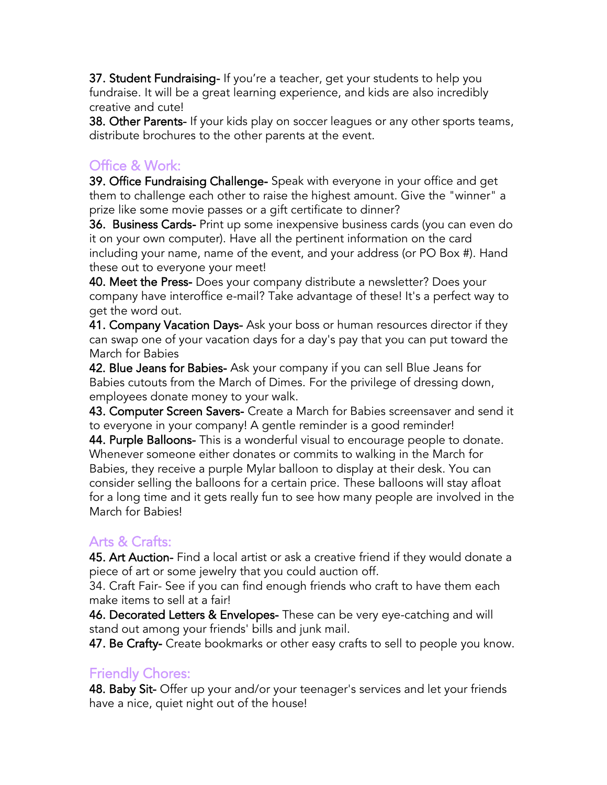37. Student Fundraising- If you're a teacher, get your students to help you fundraise. It will be a great learning experience, and kids are also incredibly creative and cute!

38. Other Parents- If your kids play on soccer leagues or any other sports teams, distribute brochures to the other parents at the event.

### Office & Work:

39. Office Fundraising Challenge- Speak with everyone in your office and get them to challenge each other to raise the highest amount. Give the "winner" a prize like some movie passes or a gift certificate to dinner?

36. Business Cards- Print up some inexpensive business cards (you can even do it on your own computer). Have all the pertinent information on the card including your name, name of the event, and your address (or PO Box #). Hand these out to everyone your meet!

40. Meet the Press- Does your company distribute a newsletter? Does your company have interoffice e-mail? Take advantage of these! It's a perfect way to get the word out.

41. Company Vacation Days- Ask your boss or human resources director if they can swap one of your vacation days for a day's pay that you can put toward the March for Babies

42. Blue Jeans for Babies- Ask your company if you can sell Blue Jeans for Babies cutouts from the March of Dimes. For the privilege of dressing down, employees donate money to your walk.

43. Computer Screen Savers- Create a March for Babies screensaver and send it to everyone in your company! A gentle reminder is a good reminder!

44. Purple Balloons- This is a wonderful visual to encourage people to donate. Whenever someone either donates or commits to walking in the March for Babies, they receive a purple Mylar balloon to display at their desk. You can consider selling the balloons for a certain price. These balloons will stay afloat for a long time and it gets really fun to see how many people are involved in the March for Babies!

# Arts & Crafts:

45. Art Auction- Find a local artist or ask a creative friend if they would donate a piece of art or some jewelry that you could auction off.

34. Craft Fair- See if you can find enough friends who craft to have them each make items to sell at a fair!

**46. Decorated Letters & Envelopes-** These can be very eye-catching and will stand out among your friends' bills and junk mail.

47. Be Crafty- Create bookmarks or other easy crafts to sell to people you know.

# Friendly Chores:

48. Baby Sit- Offer up your and/or your teenager's services and let your friends have a nice, quiet night out of the house!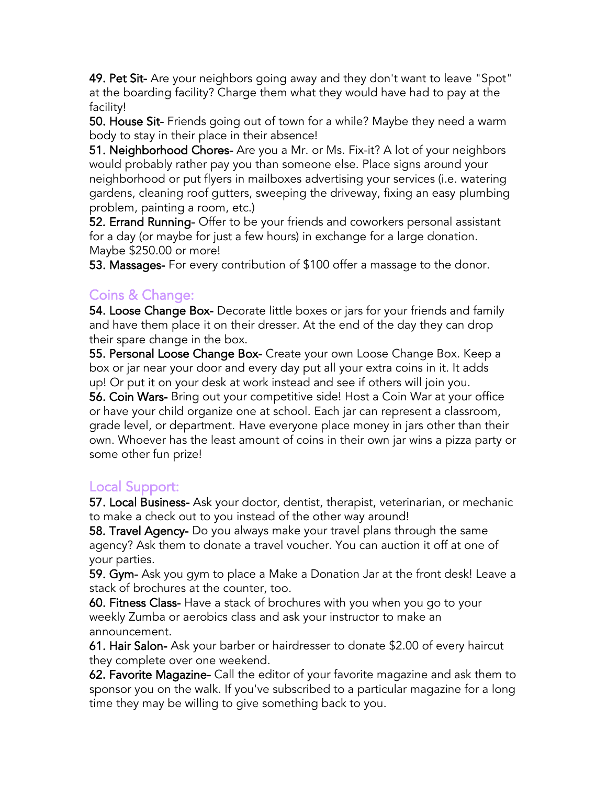49. Pet Sit- Are your neighbors going away and they don't want to leave "Spot" at the boarding facility? Charge them what they would have had to pay at the facility!

50. House Sit- Friends going out of town for a while? Maybe they need a warm body to stay in their place in their absence!

51. Neighborhood Chores- Are you a Mr. or Ms. Fix-it? A lot of your neighbors would probably rather pay you than someone else. Place signs around your neighborhood or put flyers in mailboxes advertising your services (i.e. watering gardens, cleaning roof gutters, sweeping the driveway, fixing an easy plumbing problem, painting a room, etc.)

52. Errand Running- Offer to be your friends and coworkers personal assistant for a day (or maybe for just a few hours) in exchange for a large donation. Maybe \$250.00 or more!

53. Massages- For every contribution of \$100 offer a massage to the donor.

### Coins & Change:

54. Loose Change Box- Decorate little boxes or jars for your friends and family and have them place it on their dresser. At the end of the day they can drop their spare change in the box.

55. Personal Loose Change Box- Create your own Loose Change Box. Keep a box or jar near your door and every day put all your extra coins in it. It adds up! Or put it on your desk at work instead and see if others will join you.

56. Coin Wars- Bring out your competitive side! Host a Coin War at your office or have your child organize one at school. Each jar can represent a classroom, grade level, or department. Have everyone place money in jars other than their own. Whoever has the least amount of coins in their own jar wins a pizza party or some other fun prize!

### Local Support:

57. Local Business- Ask your doctor, dentist, therapist, veterinarian, or mechanic to make a check out to you instead of the other way around!

58. Travel Agency- Do you always make your travel plans through the same agency? Ask them to donate a travel voucher. You can auction it off at one of your parties.

59. Gym- Ask you gym to place a Make a Donation Jar at the front desk! Leave a stack of brochures at the counter, too.

60. Fitness Class- Have a stack of brochures with you when you go to your weekly Zumba or aerobics class and ask your instructor to make an announcement.

61. Hair Salon- Ask your barber or hairdresser to donate \$2.00 of every haircut they complete over one weekend.

62. Favorite Magazine- Call the editor of your favorite magazine and ask them to sponsor you on the walk. If you've subscribed to a particular magazine for a long time they may be willing to give something back to you.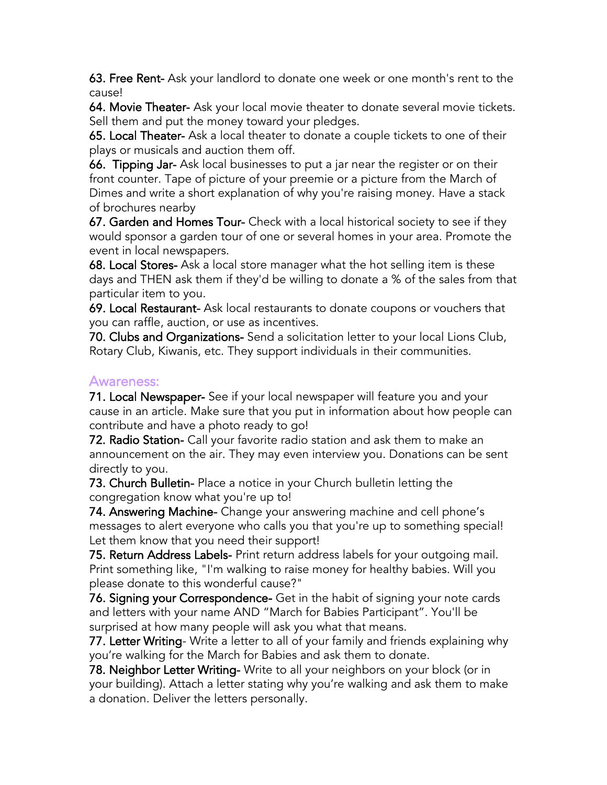63. Free Rent- Ask your landlord to donate one week or one month's rent to the cause!

64. Movie Theater- Ask your local movie theater to donate several movie tickets. Sell them and put the money toward your pledges.

65. Local Theater- Ask a local theater to donate a couple tickets to one of their plays or musicals and auction them off.

66. Tipping Jar- Ask local businesses to put a jar near the register or on their front counter. Tape of picture of your preemie or a picture from the March of Dimes and write a short explanation of why you're raising money. Have a stack of brochures nearby

67. Garden and Homes Tour- Check with a local historical society to see if they would sponsor a garden tour of one or several homes in your area. Promote the event in local newspapers.

68. Local Stores- Ask a local store manager what the hot selling item is these days and THEN ask them if they'd be willing to donate a % of the sales from that particular item to you.

69. Local Restaurant- Ask local restaurants to donate coupons or vouchers that you can raffle, auction, or use as incentives.

70. Clubs and Organizations- Send a solicitation letter to your local Lions Club, Rotary Club, Kiwanis, etc. They support individuals in their communities.

#### Awareness:

71. Local Newspaper- See if your local newspaper will feature you and your cause in an article. Make sure that you put in information about how people can contribute and have a photo ready to go!

72. Radio Station- Call your favorite radio station and ask them to make an announcement on the air. They may even interview you. Donations can be sent directly to you.

73. Church Bulletin- Place a notice in your Church bulletin letting the congregation know what you're up to!

74. Answering Machine- Change your answering machine and cell phone's messages to alert everyone who calls you that you're up to something special! Let them know that you need their support!

75. Return Address Labels- Print return address labels for your outgoing mail. Print something like, "I'm walking to raise money for healthy babies. Will you please donate to this wonderful cause?"

76. Signing your Correspondence- Get in the habit of signing your note cards and letters with your name AND "March for Babies Participant". You'll be surprised at how many people will ask you what that means.

77. Letter Writing- Write a letter to all of your family and friends explaining why you're walking for the March for Babies and ask them to donate.

78. Neighbor Letter Writing- Write to all your neighbors on your block (or in your building). Attach a letter stating why you're walking and ask them to make a donation. Deliver the letters personally.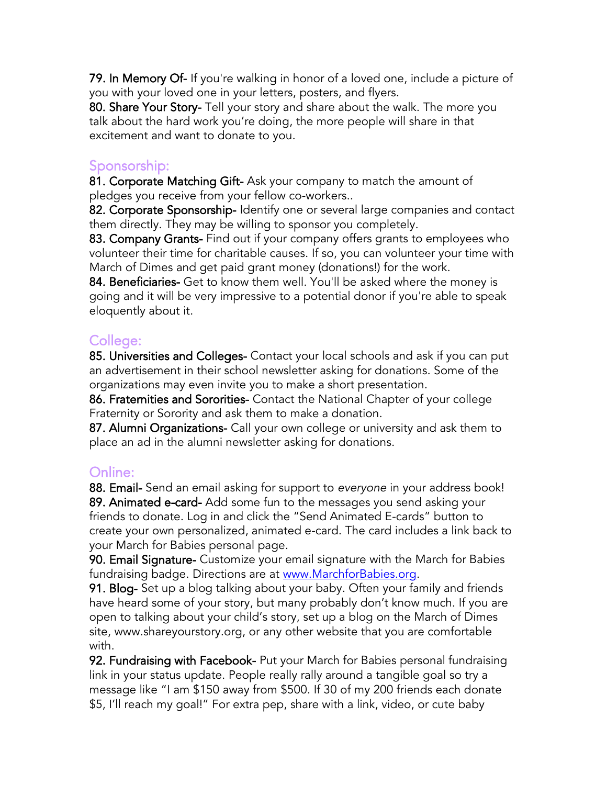79. In Memory Of- If you're walking in honor of a loved one, include a picture of you with your loved one in your letters, posters, and flyers.

80. Share Your Story- Tell your story and share about the walk. The more you talk about the hard work you're doing, the more people will share in that excitement and want to donate to you.

### Sponsorship:

81. Corporate Matching Gift- Ask your company to match the amount of pledges you receive from your fellow co-workers..

82. Corporate Sponsorship-Identify one or several large companies and contact them directly. They may be willing to sponsor you completely.

83. Company Grants- Find out if your company offers grants to employees who volunteer their time for charitable causes. If so, you can volunteer your time with March of Dimes and get paid grant money (donations!) for the work.

84. Beneficiaries- Get to know them well. You'll be asked where the money is going and it will be very impressive to a potential donor if you're able to speak eloquently about it.

# College:

85. Universities and Colleges- Contact your local schools and ask if you can put an advertisement in their school newsletter asking for donations. Some of the organizations may even invite you to make a short presentation.

86. Fraternities and Sororities- Contact the National Chapter of your college Fraternity or Sorority and ask them to make a donation.

87. Alumni Organizations- Call your own college or university and ask them to place an ad in the alumni newsletter asking for donations.

# Online:

88. Email- Send an email asking for support to *everyone* in your address book! 89. Animated e-card- Add some fun to the messages you send asking your friends to donate. Log in and click the "Send Animated E-cards" button to create your own personalized, animated e-card. The card includes a link back to your March for Babies personal page.

90. Email Signature- Customize your email signature with the March for Babies fundraising badge. Directions are at [www.MarchforBabies.org.](http://www.marchforbabies.org/)

91. Blog- Set up a blog talking about your baby. Often your family and friends have heard some of your story, but many probably don't know much. If you are open to talking about your child's story, set up a blog on the March of Dimes site, www.shareyourstory.org, or any other website that you are comfortable with.

92. Fundraising with Facebook- Put your March for Babies personal fundraising link in your status update. People really rally around a tangible goal so try a message like "I am \$150 away from \$500. If 30 of my 200 friends each donate \$5, I'll reach my goal!" For extra pep, share with a link, video, or cute baby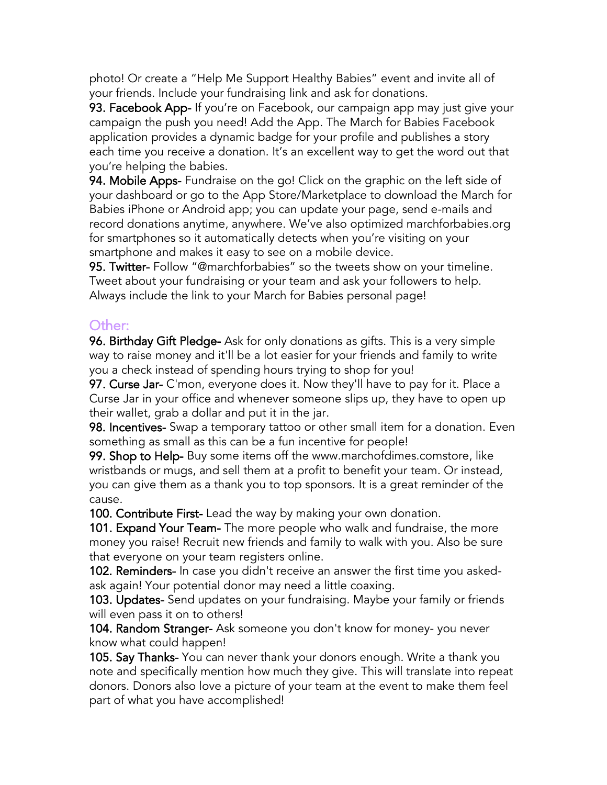photo! Or create a "Help Me Support Healthy Babies" event and invite all of your friends. Include your fundraising link and ask for donations.

93. Facebook App- If you're on Facebook, our campaign app may just give your campaign the push you need! [Add the App.](http://blog.marchforbabies.org/?p=625) The March for Babies Facebook application provides a dynamic badge for your profile and publishes a story each time you receive a donation. It's an excellent way to get the word out that you're helping the babies.

94. Mobile Apps- Fundraise on the go! Click on the graphic on the left side of your dashboard or go to the App Store/Marketplace to download the March for Babies iPhone or Android app; you can update your page, send e-mails and record donations anytime, anywhere. We've also optimized marchforbabies.org for smartphones so it automatically detects when you're visiting on your smartphone and makes it easy to see on a mobile device.

95. Twitter- Follow "@marchforbabies" so the tweets show on your timeline. Tweet about your fundraising or your team and ask your followers to help. Always include the link to your March for Babies personal page!

### Other:

96. Birthday Gift Pledge- Ask for only donations as gifts. This is a very simple way to raise money and it'll be a lot easier for your friends and family to write you a check instead of spending hours trying to shop for you!

97. Curse Jar- C'mon, everyone does it. Now they'll have to pay for it. Place a Curse Jar in your office and whenever someone slips up, they have to open up their wallet, grab a dollar and put it in the jar.

98. Incentives- Swap a temporary tattoo or other small item for a donation. Even something as small as this can be a fun incentive for people!

99. Shop to Help- Buy some items off the www.marchofdimes.comstore, like wristbands or mugs, and sell them at a profit to benefit your team. Or instead, you can give them as a thank you to top sponsors. It is a great reminder of the cause.

100. Contribute First-Lead the way by making your own donation.

101. Expand Your Team- The more people who walk and fundraise, the more money you raise! Recruit new friends and family to walk with you. Also be sure that everyone on your team registers online.

102. Reminders- In case you didn't receive an answer the first time you askedask again! Your potential donor may need a little coaxing.

103. Updates- Send updates on your fundraising. Maybe your family or friends will even pass it on to others!

104. Random Stranger- Ask someone you don't know for money- you never know what could happen!

105. Say Thanks- You can never thank your donors enough. Write a thank you note and specifically mention how much they give. This will translate into repeat donors. Donors also love a picture of your team at the event to make them feel part of what you have accomplished!